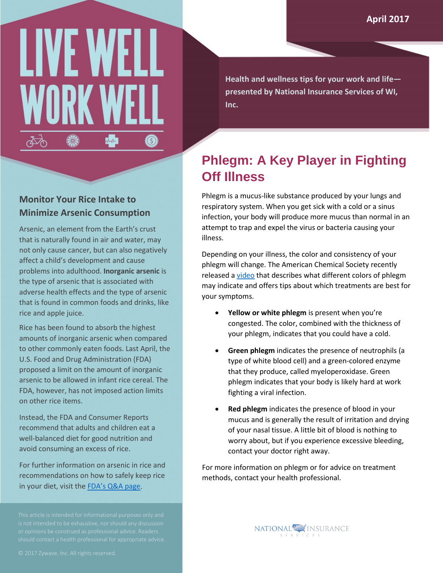# LIVE WE WORK \$  $\sqrt{2}$  $\circledS$

**Health and wellness tips for your work and life presented by National Insurance Services of WI, Inc.**

### **Phlegm: A Key Player in Fighting Off Illness**

Phlegm is a mucus-like substance produced by your lungs and respiratory system. When you get sick with a cold or a sinus infection, your body will produce more mucus than normal in an attempt to trap and expel the virus or bacteria causing your illness.

Depending on your illness, the color and consistency of your phlegm will change. The American Chemical Society recently released a [video](https://youtu.be/RbcUcYDejks) that describes what different colors of phlegm may indicate and offers tips about which treatments are best for your symptoms.

- **Yellow or white phlegm** is present when you're congested. The color, combined with the thickness of your phlegm, indicates that you could have a cold.
- **Green phlegm** indicates the presence of neutrophils (a type of white blood cell) and a green-colored enzyme that they produce, called myeloperoxidase. Green phlegm indicates that your body is likely hard at work fighting a viral infection.
- **Red phlegm** indicates the presence of blood in your mucus and is generally the result of irritation and drying of your nasal tissue. A little bit of blood is nothing to worry about, but if you experience excessive bleeding, contact your doctor right away.

For more information on phlegm or for advice on treatment methods, contact your health professional.

> **NATIONAL** INSURANCE SERVICES



Arsenic, an element from the Earth's crust that is naturally found in air and water, may not only cause cancer, but can also negatively affect a child's development and cause problems into adulthood. **Inorganic arsenic** is the type of arsenic that is associated with adverse health effects and the type of arsenic that is found in common foods and drinks, like rice and apple juice.

Rice has been found to absorb the highest amounts of inorganic arsenic when compared to other commonly eaten foods. Last April, the U.S. Food and Drug Administration (FDA) proposed a limit on the amount of inorganic arsenic to be allowed in infant rice cereal. The FDA, however, has not imposed action limits on other rice items.

Instead, the FDA and Consumer Reports recommend that adults and children eat a well-balanced diet for good nutrition and avoid consuming an excess of rice.

For further information on arsenic in rice and recommendations on how to safely keep rice in your diet, visit the [FDA's Q&A page.](http://www.fda.gov/Food/FoodborneIllnessContaminants/Metals/ucm319948.htm)